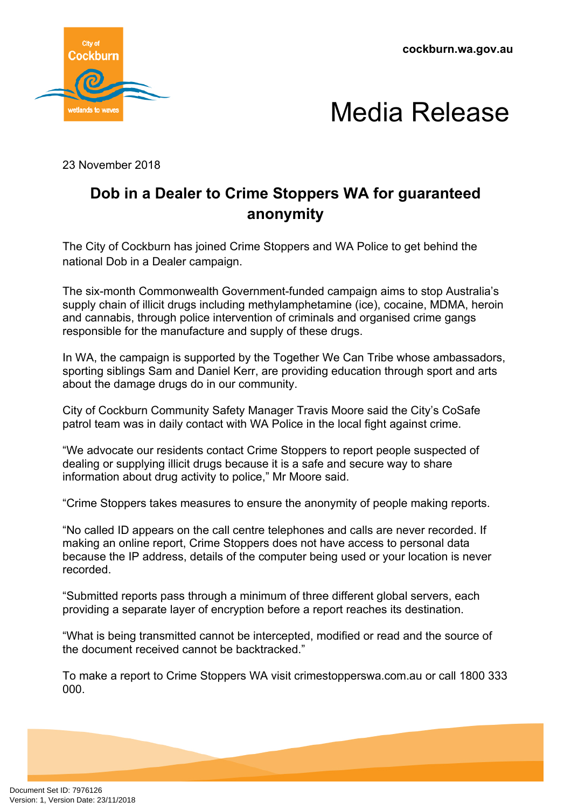**cockburn.wa.gov.au**





23 November 2018

## **Dob in a Dealer to Crime Stoppers WA for guaranteed anonymity**

The City of Cockburn has joined Crime Stoppers and WA Police to get behind the national Dob in a Dealer campaign.

The six-month Commonwealth Government-funded campaign aims to stop Australia's supply chain of illicit drugs including methylamphetamine (ice), cocaine, MDMA, heroin and cannabis, through police intervention of criminals and organised crime gangs responsible for the manufacture and supply of these drugs.

In WA, the campaign is supported by the Together We Can Tribe whose ambassadors, sporting siblings Sam and Daniel Kerr, are providing education through sport and arts about the damage drugs do in our community.

City of Cockburn Community Safety Manager Travis Moore said the City's CoSafe patrol team was in daily contact with WA Police in the local fight against crime.

"We advocate our residents contact Crime Stoppers to report people suspected of dealing or supplying illicit drugs because it is a safe and secure way to share information about drug activity to police," Mr Moore said.

"Crime Stoppers takes measures to ensure the anonymity of people making reports.

"No called ID appears on the call centre telephones and calls are never recorded. If making an online report, Crime Stoppers does not have access to personal data because the IP address, details of the computer being used or your location is never recorded.

"Submitted reports pass through a minimum of three different global servers, each providing a separate layer of encryption before a report reaches its destination.

"What is being transmitted cannot be intercepted, modified or read and the source of the document received cannot be backtracked."

To make a report to Crime Stoppers WA visit crimestopperswa.com.au or call 1800 333 000.

Document Set ID: 7976126<br>Version: 1, Version Date: 23/11/2018